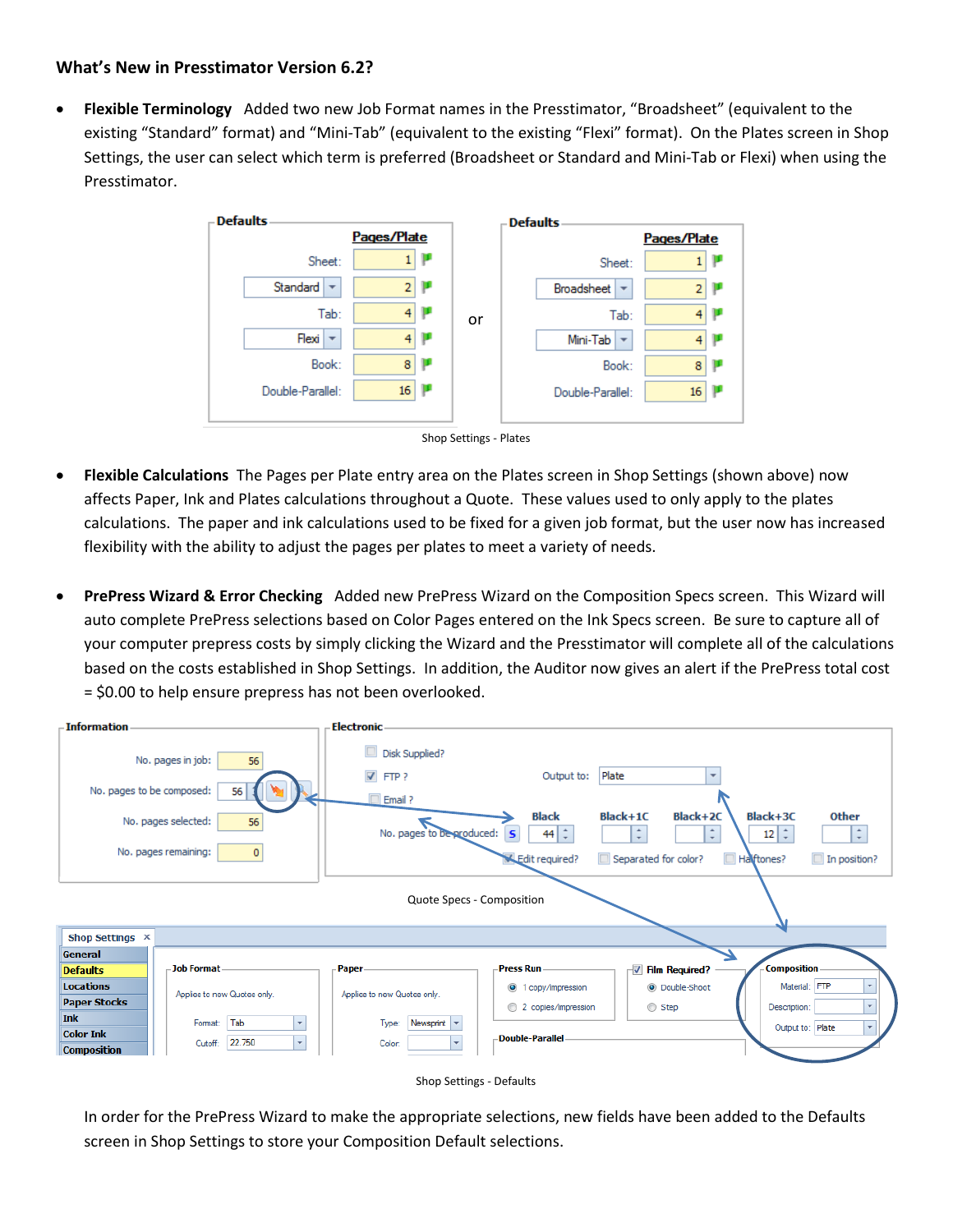## **What's New in Presstimator Version 6.2?**

 **Flexible Terminology** Added two new Job Format names in the Presstimator, "Broadsheet" (equivalent to the existing "Standard" format) and "Mini-Tab" (equivalent to the existing "Flexi" format). On the Plates screen in Shop Settings, the user can select which term is preferred (Broadsheet or Standard and Mini-Tab or Flexi) when using the Presstimator.





- **Flexible Calculations** The Pages per Plate entry area on the Plates screen in Shop Settings (shown above) now affects Paper, Ink and Plates calculations throughout a Quote. These values used to only apply to the plates calculations. The paper and ink calculations used to be fixed for a given job format, but the user now has increased flexibility with the ability to adjust the pages per plates to meet a variety of needs.
- **PrePress Wizard & Error Checking** Added new PrePress Wizard on the Composition Specs screen. This Wizard will auto complete PrePress selections based on Color Pages entered on the Ink Specs screen. Be sure to capture all of your computer prepress costs by simply clicking the Wizard and the Presstimator will complete all of the calculations based on the costs established in Shop Settings. In addition, the Auditor now gives an alert if the PrePress total cost = \$0.00 to help ensure prepress has not been overlooked.





In order for the PrePress Wizard to make the appropriate selections, new fields have been added to the Defaults screen in Shop Settings to store your Composition Default selections.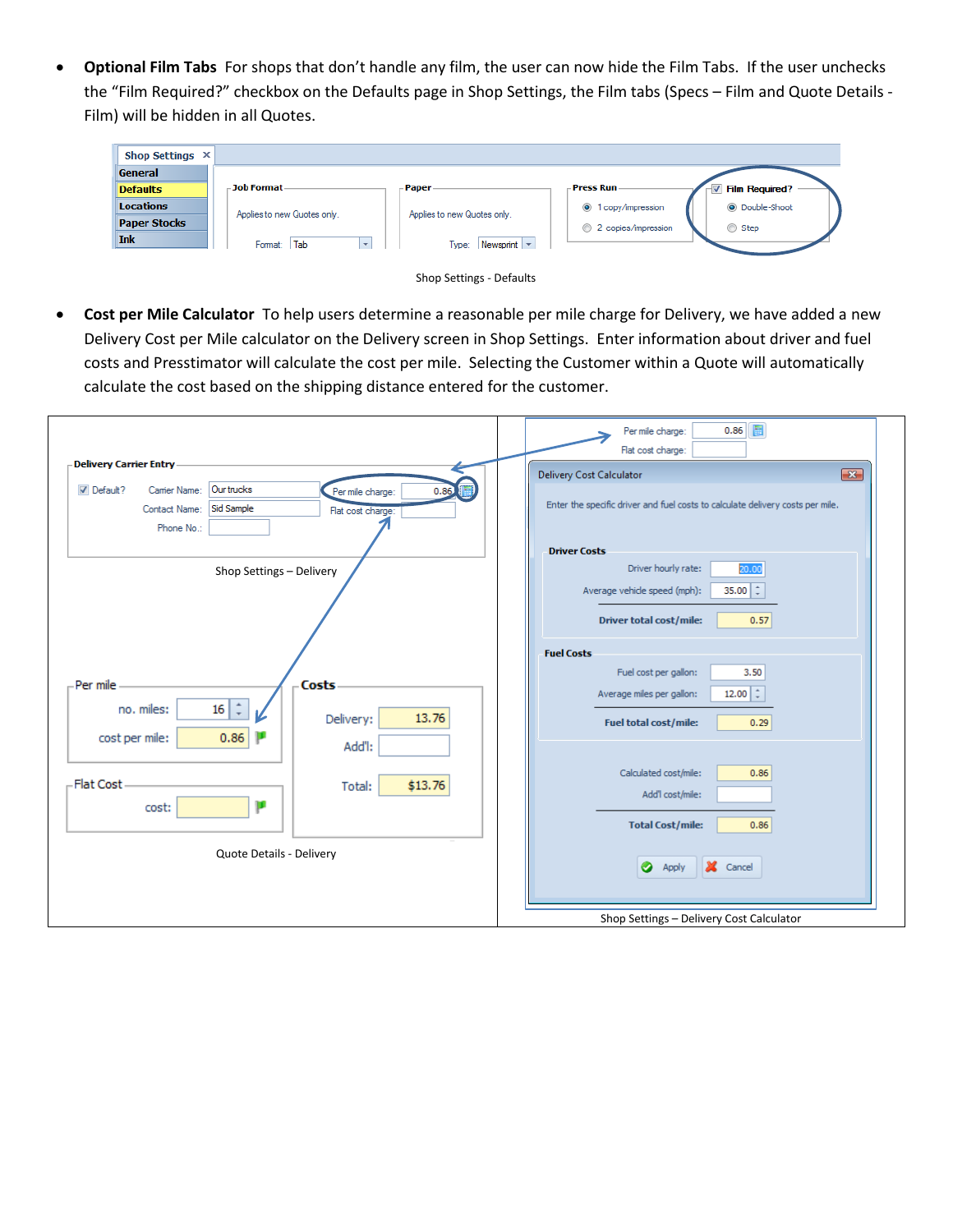**Optional Film Tabs** For shops that don't handle any film, the user can now hide the Film Tabs. If the user unchecks the "Film Required?" checkbox on the Defaults page in Shop Settings, the Film tabs (Specs – Film and Quote Details - Film) will be hidden in all Quotes.

| Shop Settings X     |                             |                                                  |                              |                       |
|---------------------|-----------------------------|--------------------------------------------------|------------------------------|-----------------------|
| General             |                             |                                                  |                              |                       |
| <b>Defaults</b>     | – Job Format –              | – Paper -                                        | - Press Run -                | <b>Film Required?</b> |
| <b>Locations</b>    | Applies to new Quotes only. | Applies to new Quotes only.                      | $\odot$<br>1 copy/impression | C Double-Shoot        |
| <b>Paper Stocks</b> |                             |                                                  | ⊙<br>2 copies/impression     | ◯ Step                |
| <b>Ink</b>          | Format: Tab<br>$\mathbf{v}$ | Type: $\vert$ Newsprint $\vert \mathbf{v} \vert$ |                              |                       |
|                     |                             |                                                  |                              |                       |



 **Cost per Mile Calculator** To help users determine a reasonable per mile charge for Delivery, we have added a new Delivery Cost per Mile calculator on the Delivery screen in Shop Settings. Enter information about driver and fuel costs and Presstimator will calculate the cost per mile. Selecting the Customer within a Quote will automatically calculate the cost based on the shipping distance entered for the customer.

|                                                                                                                                                                                 | 圖<br>0.86<br>Per mile charge:<br>Flat cost charge:                                                                                            |
|---------------------------------------------------------------------------------------------------------------------------------------------------------------------------------|-----------------------------------------------------------------------------------------------------------------------------------------------|
| <b>Delivery Carrier Entry</b><br>Our trucks<br>$\nabla$ Default?<br>Carrier Name:<br>0.86<br>Per mile charge:<br>Sid Sample<br>Contact Name:<br>Flat cost charge:<br>Phone No.: | $\boxed{\mathbf{x}}$<br>Delivery Cost Calculator<br>Enter the specific driver and fuel costs to calculate delivery costs per mile.            |
| Shop Settings - Delivery                                                                                                                                                        | <b>Driver Costs</b><br>Driver hourly rate:<br>20.00<br>35.00 $\div$<br>Average vehicle speed (mph):<br><b>Driver total cost/mile:</b><br>0.57 |
| Per mile<br>Costs<br>$\hat{z}$<br>16 <br>no. miles:<br>13.76<br>Delivery:<br>0.86<br>cost per mile:<br>Add'l:                                                                   | <b>Fuel Costs</b><br>Fuel cost per gallon:<br>3.50<br>12.00 $\div$<br>Average miles per gallon:<br><b>Fuel total cost/mile:</b><br>0.29       |
| <b>Flat Cost</b><br>\$13.76<br>Total:<br>ш<br>cost:                                                                                                                             | Calculated cost/mile:<br>0.86<br>Add'l cost/mile:<br><b>Total Cost/mile:</b><br>0.86                                                          |
| Quote Details - Delivery                                                                                                                                                        | X Cancel<br>◉<br>Apply<br>Shop Settings - Delivery Cost Calculator                                                                            |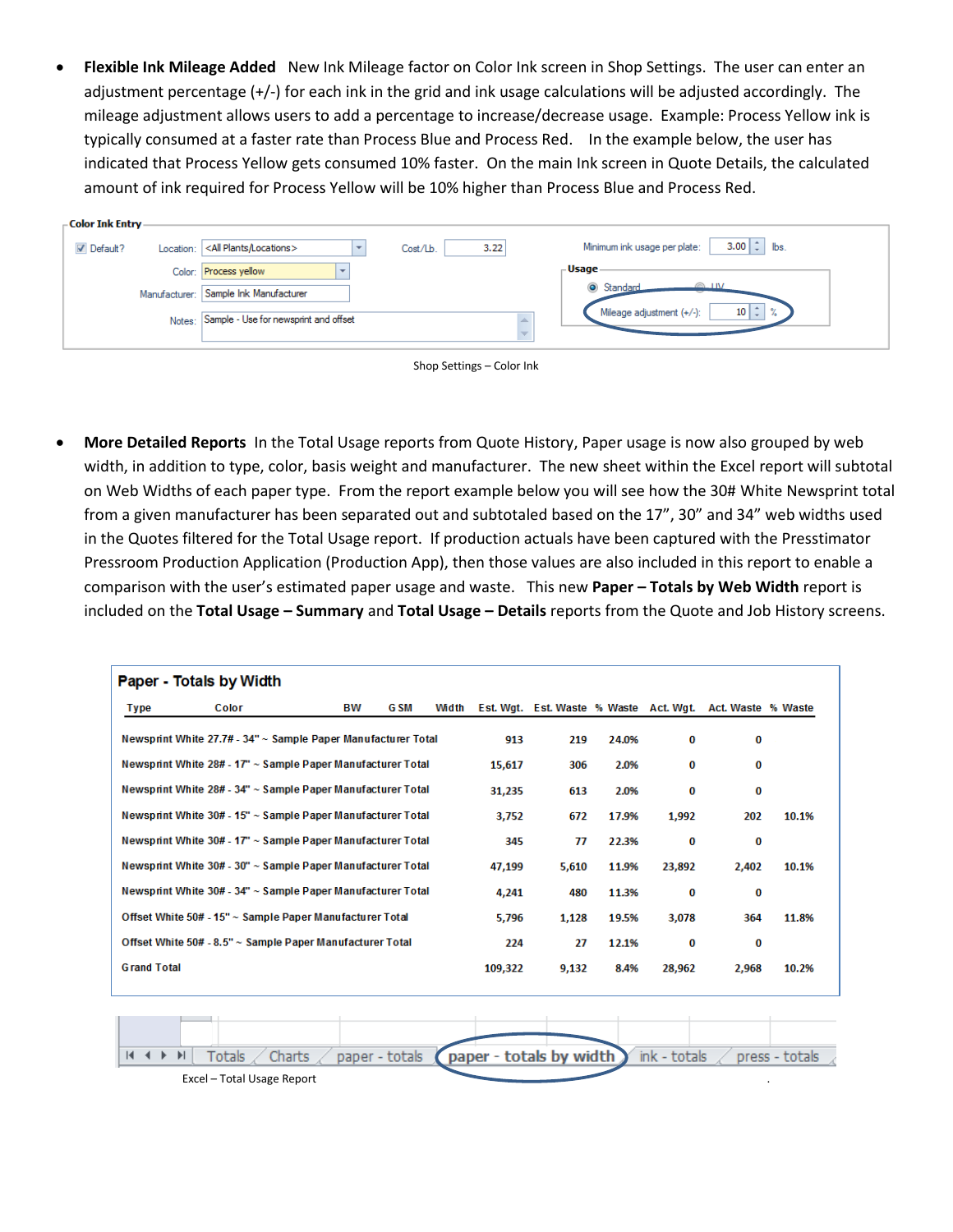**Flexible Ink Mileage Added** New Ink Mileage factor on Color Ink screen in Shop Settings. The user can enter an adjustment percentage (+/-) for each ink in the grid and ink usage calculations will be adjusted accordingly. The mileage adjustment allows users to add a percentage to increase/decrease usage. Example: Process Yellow ink is typically consumed at a faster rate than Process Blue and Process Red. In the example below, the user has indicated that Process Yellow gets consumed 10% faster. On the main Ink screen in Quote Details, the calculated amount of ink required for Process Yellow will be 10% higher than Process Blue and Process Red.

| - Color Ink Entry - |           |                                                                                                                       |
|---------------------|-----------|-----------------------------------------------------------------------------------------------------------------------|
| $\nabla$ Default?   | Location: | $3.00 \div \mathsf{b}$ s.<br>Minimum ink usage per plate:<br><all locations="" plants=""><br/>3.22<br/>Cost/Lb.</all> |
|                     |           | - Usage -<br>Color: Process yellow                                                                                    |
|                     |           | Standard<br><b>TIM</b><br>Manufacturer: Sample Ink Manufacturer                                                       |
|                     |           | $10 \mid \hat{z} \mid$<br>$\gamma$<br>Mileage adjustment (+/-):<br>Notes: Sample - Use for newsprint and offset       |
|                     |           |                                                                                                                       |

| Shop Settings - Color Ink |  |  |  |  |
|---------------------------|--|--|--|--|
|---------------------------|--|--|--|--|

 **More Detailed Reports** In the Total Usage reports from Quote History, Paper usage is now also grouped by web width, in addition to type, color, basis weight and manufacturer. The new sheet within the Excel report will subtotal on Web Widths of each paper type. From the report example below you will see how the 30# White Newsprint total from a given manufacturer has been separated out and subtotaled based on the 17", 30" and 34" web widths used in the Quotes filtered for the Total Usage report. If production actuals have been captured with the Presstimator Pressroom Production Application (Production App), then those values are also included in this report to enable a comparison with the user's estimated paper usage and waste. This new **Paper – Totals by Web Width** report is included on the **Total Usage – Summary** and **Total Usage – Details** reports from the Quote and Job History screens.

|                                                             | Color                                                         | вw | G SM | Width |         | Est. Wat. Est. Waste % Waste Act. Wat. |       |        | Act. Waste % Waste |       |
|-------------------------------------------------------------|---------------------------------------------------------------|----|------|-------|---------|----------------------------------------|-------|--------|--------------------|-------|
| Type                                                        |                                                               |    |      |       |         |                                        |       |        |                    |       |
|                                                             | Newsprint White 27.7# - 34" ~ Sample Paper Manufacturer Total |    |      |       | 913     | 219                                    | 24.0% | 0      | 0                  |       |
|                                                             | Newsprint White 28# - 17" ~ Sample Paper Manufacturer Total   |    |      |       | 15.617  | 306                                    | 2.0%  | 0      | 0                  |       |
|                                                             | Newsprint White 28# - 34" ~ Sample Paper Manufacturer Total   |    |      |       | 31,235  | 613                                    | 2.0%  | 0      | 0                  |       |
|                                                             | Newsprint White 30# - 15" ~ Sample Paper Manufacturer Total   |    |      |       | 3,752   | 672                                    | 17.9% | 1,992  | 202                | 10.1% |
| Newsprint White 30# - 17" ~ Sample Paper Manufacturer Total |                                                               |    |      | 345   | 77      | 22.3%                                  | 0     | 0      |                    |       |
|                                                             | Newsprint White 30# - 30" ~ Sample Paper Manufacturer Total   |    |      |       | 47,199  | 5,610                                  | 11.9% | 23,892 | 2,402              | 10.1% |
| Newsprint White 30# - 34" ~ Sample Paper Manufacturer Total |                                                               |    |      | 4,241 | 480     | 11.3%                                  | 0     | 0      |                    |       |
| Offset White 50# - 15" ~ Sample Paper Manufacturer Total    |                                                               |    |      | 5,796 | 1,128   | 19.5%                                  | 3,078 | 364    | 11.8%              |       |
| Offset White 50# - 8.5" ~ Sample Paper Manufacturer Total   |                                                               |    |      | 224   | 27      | 12.1%                                  | 0     | 0      |                    |       |
| <b>Grand Total</b>                                          |                                                               |    |      |       | 109,322 | 9,132                                  | 8.4%  | 28,962 | 2,968              | 10.2% |
|                                                             |                                                               |    |      |       |         |                                        |       |        |                    |       |
|                                                             |                                                               |    |      |       |         |                                        |       |        |                    |       |
|                                                             |                                                               |    |      |       |         |                                        |       |        |                    |       |

Excel – Total Usage Report .